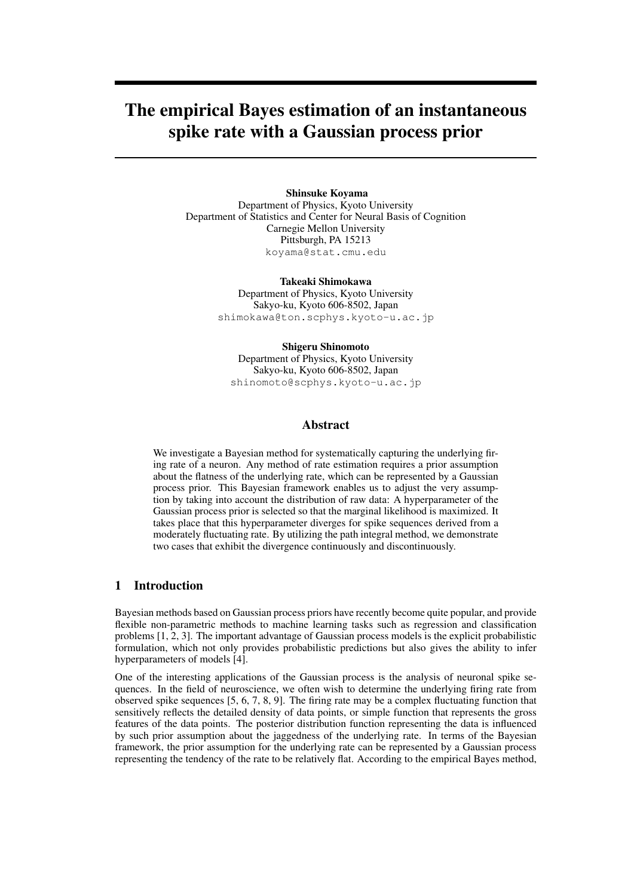# The empirical Bayes estimation of an instantaneous spike rate with a Gaussian process prior

## Shinsuke Koyama

Department of Physics, Kyoto University Department of Statistics and Center for Neural Basis of Cognition Carnegie Mellon University Pittsburgh, PA 15213 koyama@stat.cmu.edu

> Takeaki Shimokawa Department of Physics, Kyoto University Sakyo-ku, Kyoto 606-8502, Japan shimokawa@ton.scphys.kyoto-u.ac.jp

## Shigeru Shinomoto Department of Physics, Kyoto University Sakyo-ku, Kyoto 606-8502, Japan shinomoto@scphys.kyoto-u.ac.jp

# Abstract

We investigate a Bayesian method for systematically capturing the underlying firing rate of a neuron. Any method of rate estimation requires a prior assumption about the flatness of the underlying rate, which can be represented by a Gaussian process prior. This Bayesian framework enables us to adjust the very assumption by taking into account the distribution of raw data: A hyperparameter of the Gaussian process prior is selected so that the marginal likelihood is maximized. It takes place that this hyperparameter diverges for spike sequences derived from a moderately fluctuating rate. By utilizing the path integral method, we demonstrate two cases that exhibit the divergence continuously and discontinuously.

# 1 Introduction

Bayesian methods based on Gaussian process priors have recently become quite popular, and provide flexible non-parametric methods to machine learning tasks such as regression and classification problems [1, 2, 3]. The important advantage of Gaussian process models is the explicit probabilistic formulation, which not only provides probabilistic predictions but also gives the ability to infer hyperparameters of models [4].

One of the interesting applications of the Gaussian process is the analysis of neuronal spike sequences. In the field of neuroscience, we often wish to determine the underlying firing rate from observed spike sequences [5, 6, 7, 8, 9]. The firing rate may be a complex fluctuating function that sensitively reflects the detailed density of data points, or simple function that represents the gross features of the data points. The posterior distribution function representing the data is influenced by such prior assumption about the jaggedness of the underlying rate. In terms of the Bayesian framework, the prior assumption for the underlying rate can be represented by a Gaussian process representing the tendency of the rate to be relatively flat. According to the empirical Bayes method,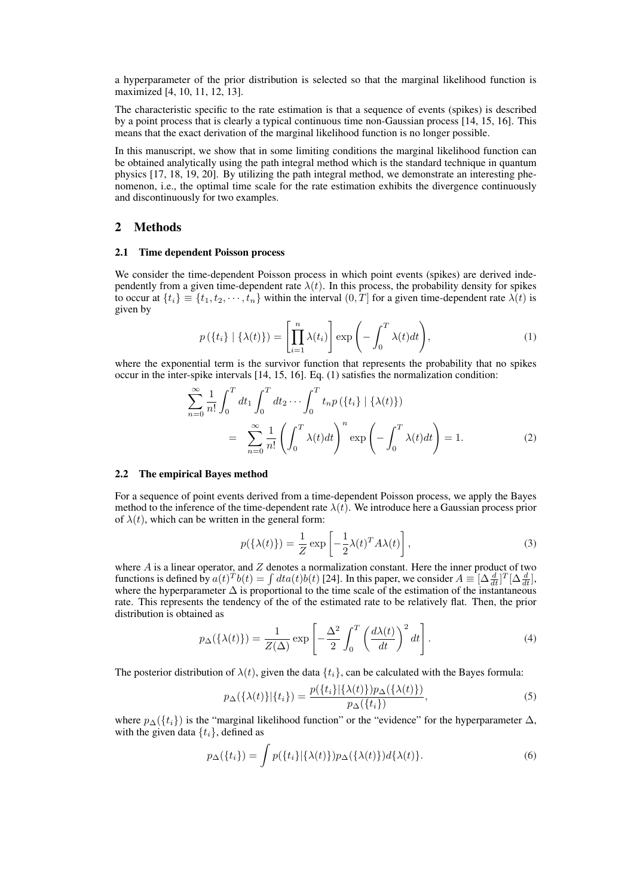a hyperparameter of the prior distribution is selected so that the marginal likelihood function is maximized [4, 10, 11, 12, 13].

The characteristic specific to the rate estimation is that a sequence of events (spikes) is described by a point process that is clearly a typical continuous time non-Gaussian process [14, 15, 16]. This means that the exact derivation of the marginal likelihood function is no longer possible.

In this manuscript, we show that in some limiting conditions the marginal likelihood function can be obtained analytically using the path integral method which is the standard technique in quantum physics [17, 18, 19, 20]. By utilizing the path integral method, we demonstrate an interesting phenomenon, i.e., the optimal time scale for the rate estimation exhibits the divergence continuously and discontinuously for two examples.

# 2 Methods

#### 2.1 Time dependent Poisson process

We consider the time-dependent Poisson process in which point events (spikes) are derived independently from a given time-dependent rate  $\lambda(t)$ . In this process, the probability density for spikes to occur at  $\{t_i\} \equiv \{t_1, t_2, \dots, t_n\}$  within the interval  $(0, T]$  for a given time-dependent rate  $\lambda(t)$  is given by

$$
p(\lbrace t_i \rbrace | \lbrace \lambda(t) \rbrace) = \left[ \prod_{i=1}^n \lambda(t_i) \right] \exp\left( - \int_0^T \lambda(t) dt \right), \tag{1}
$$

where the exponential term is the survivor function that represents the probability that no spikes occur in the inter-spike intervals [14, 15, 16]. Eq. (1) satisfies the normalization condition:

$$
\sum_{n=0}^{\infty} \frac{1}{n!} \int_0^T dt_1 \int_0^T dt_2 \cdots \int_0^T t_n p(\lbrace t_i \rbrace | \lbrace \lambda(t) \rbrace)
$$
  
= 
$$
\sum_{n=0}^{\infty} \frac{1}{n!} \left( \int_0^T \lambda(t) dt \right)^n \exp\left(-\int_0^T \lambda(t) dt\right) = 1.
$$
 (2)

#### 2.2 The empirical Bayes method

For a sequence of point events derived from a time-dependent Poisson process, we apply the Bayes method to the inference of the time-dependent rate  $\lambda(t)$ . We introduce here a Gaussian process prior of  $\lambda(t)$ , which can be written in the general form:

$$
p(\{\lambda(t)\}) = \frac{1}{Z} \exp\left[-\frac{1}{2}\lambda(t)^T A \lambda(t)\right],\tag{3}
$$

where  $A$  is a linear operator, and  $Z$  denotes a normalization constant. Here the inner product of two functions is defined by  $a(t)^T b(t) = \int dt a(t) b(t)$  [24]. In this paper, we consider  $A \equiv [\Delta \frac{d}{dt}]^T [\Delta \frac{d}{dt}]$ , where the hyperparameter  $\Delta$  is proportional to the time scale of the estimation of the instantaneous rate. This represents the tendency of the of the estimated rate to be relatively flat. Then, the prior distribution is obtained as

$$
p_{\Delta}(\{\lambda(t)\}) = \frac{1}{Z(\Delta)} \exp\left[-\frac{\Delta^2}{2} \int_0^T \left(\frac{d\lambda(t)}{dt}\right)^2 dt\right].
$$
 (4)

The posterior distribution of  $\lambda(t)$ , given the data  $\{t_i\}$ , can be calculated with the Bayes formula:

$$
p_{\Delta}(\{\lambda(t)\}|\{t_i\}) = \frac{p(\{t_i\}|\{\lambda(t)\})p_{\Delta}(\{\lambda(t)\})}{p_{\Delta}(\{t_i\})},
$$
\n<sup>(5)</sup>

where  $p_{\Delta}({t_i})$  is the "marginal likelihood function" or the "evidence" for the hyperparameter  $\Delta$ , with the given data  $\{t_i\}$ , defined as

$$
p_{\Delta}(\lbrace t_i \rbrace) = \int p(\lbrace t_i \rbrace | \lbrace \lambda(t) \rbrace) p_{\Delta}(\lbrace \lambda(t) \rbrace) d\lbrace \lambda(t) \rbrace.
$$
 (6)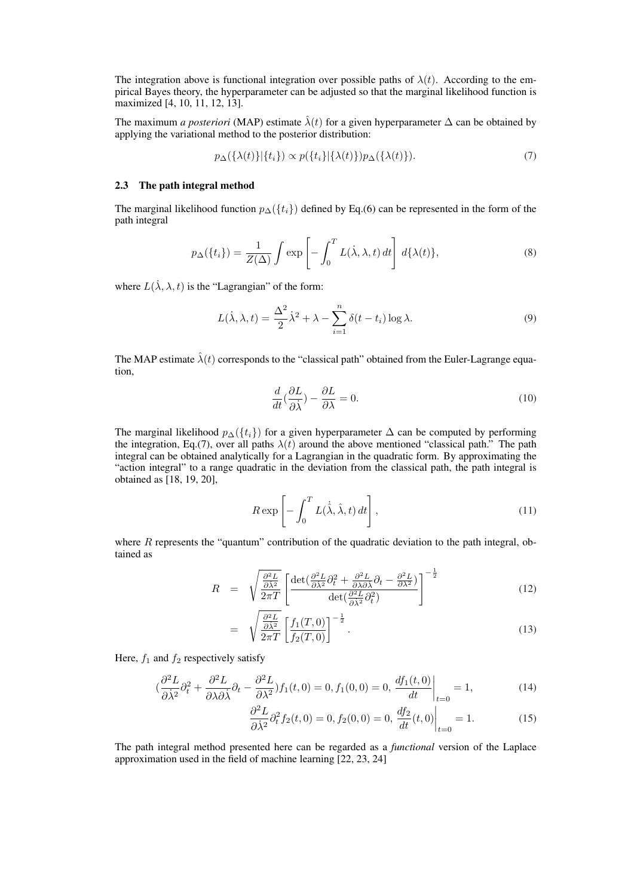The integration above is functional integration over possible paths of  $\lambda(t)$ . According to the empirical Bayes theory, the hyperparameter can be adjusted so that the marginal likelihood function is maximized [4, 10, 11, 12, 13].

The maximum *a posteriori* (MAP) estimate  $\hat{\lambda}(t)$  for a given hyperparameter  $\Delta$  can be obtained by applying the variational method to the posterior distribution:

$$
p_{\Delta}(\{\lambda(t)\}|\{t_i\}) \propto p(\{t_i\}|\{\lambda(t)\})p_{\Delta}(\{\lambda(t)\}). \tag{7}
$$

#### 2.3 The path integral method

The marginal likelihood function  $p_{\Delta}(\{t_i\})$  defined by Eq.(6) can be represented in the form of the path integral

$$
p_{\Delta}(\lbrace t_i \rbrace) = \frac{1}{Z(\Delta)} \int \exp\left[-\int_0^T L(\dot{\lambda}, \lambda, t) dt\right] d\{\lambda(t)\},\tag{8}
$$

where  $L(\dot{\lambda}, \lambda, t)$  is the "Lagrangian" of the form:

$$
L(\dot{\lambda}, \lambda, t) = \frac{\Delta^2}{2} \dot{\lambda}^2 + \lambda - \sum_{i=1}^n \delta(t - t_i) \log \lambda.
$$
 (9)

The MAP estimate  $\hat{\lambda}(t)$  corresponds to the "classical path" obtained from the Euler-Lagrange equation,

$$
\frac{d}{dt}(\frac{\partial L}{\partial \dot{\lambda}}) - \frac{\partial L}{\partial \lambda} = 0.
$$
\n(10)

The marginal likelihood  $p_{\Delta}(\lbrace t_i \rbrace)$  for a given hyperparameter  $\Delta$  can be computed by performing the integration, Eq.(7), over all paths  $\lambda(t)$  around the above mentioned "classical path." The path integral can be obtained analytically for a Lagrangian in the quadratic form. By approximating the "action integral" to a range quadratic in the deviation from the classical path, the path integral is obtained as [18, 19, 20],

$$
R \exp\left[-\int_0^T L(\dot{\hat{\lambda}}, \hat{\lambda}, t) dt\right],
$$
\n(11)

where  $R$  represents the "quantum" contribution of the quadratic deviation to the path integral, obtained as

$$
R = \sqrt{\frac{\frac{\partial^2 L}{\partial \lambda^2}}{2\pi T}} \left[ \frac{\det(\frac{\partial^2 L}{\partial \lambda^2} \partial_t^2 + \frac{\partial^2 L}{\partial \lambda \partial \lambda} \partial_t - \frac{\partial^2 L}{\partial \lambda^2})}{\det(\frac{\partial^2 L}{\partial \lambda^2} \partial_t^2)} \right]^{-\frac{1}{2}}
$$
(12)

$$
= \sqrt{\frac{\frac{\partial^2 L}{\partial \lambda^2}}{2\pi T}} \left[ \frac{f_1(T,0)}{f_2(T,0)} \right]^{-\frac{1}{2}}.
$$
\n(13)

Here,  $f_1$  and  $f_2$  respectively satisfy

$$
\left(\frac{\partial^2 L}{\partial \dot{\lambda}^2} \partial_t^2 + \frac{\partial^2 L}{\partial \lambda \partial \dot{\lambda}} \partial_t - \frac{\partial^2 L}{\partial \lambda^2} \right) f_1(t,0) = 0, f_1(0,0) = 0, \left. \frac{df_1(t,0)}{dt} \right|_{t=0} = 1,\tag{14}
$$

$$
\frac{\partial^2 L}{\partial \dot{\lambda}^2} \partial_t^2 f_2(t,0) = 0, f_2(0,0) = 0, \left. \frac{df_2}{dt}(t,0) \right|_{t=0} = 1.
$$
 (15)

The path integral method presented here can be regarded as a *functional* version of the Laplace approximation used in the field of machine learning [22, 23, 24]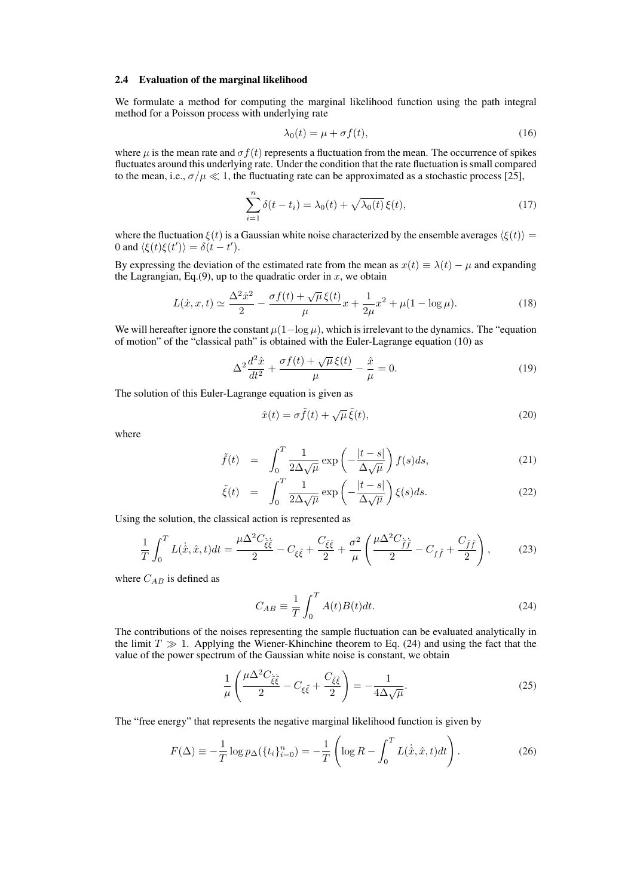#### 2.4 Evaluation of the marginal likelihood

We formulate a method for computing the marginal likelihood function using the path integral method for a Poisson process with underlying rate

$$
\lambda_0(t) = \mu + \sigma f(t),\tag{16}
$$

where  $\mu$  is the mean rate and  $\sigma f(t)$  represents a fluctuation from the mean. The occurrence of spikes fluctuates around this underlying rate. Under the condition that the rate fluctuation is small compared to the mean, i.e.,  $\sigma/\mu \ll 1$ , the fluctuating rate can be approximated as a stochastic process [25],

$$
\sum_{i=1}^{n} \delta(t - t_i) = \lambda_0(t) + \sqrt{\lambda_0(t)} \,\xi(t),\tag{17}
$$

where the fluctuation  $\xi(t)$  is a Gaussian white noise characterized by the ensemble averages  $\langle \xi(t) \rangle =$ 0 and  $\langle \xi(t)\xi(t')\rangle = \delta(t-t').$ 

By expressing the deviation of the estimated rate from the mean as  $x(t) \equiv \lambda(t) - \mu$  and expanding the Lagrangian, Eq.(9), up to the quadratic order in  $x$ , we obtain

$$
L(\dot{x}, x, t) \simeq \frac{\Delta^2 \dot{x}^2}{2} - \frac{\sigma f(t) + \sqrt{\mu} \xi(t)}{\mu} x + \frac{1}{2\mu} x^2 + \mu (1 - \log \mu). \tag{18}
$$

We will hereafter ignore the constant  $\mu(1-\log\mu)$ , which is irrelevant to the dynamics. The "equation" of motion" of the "classical path" is obtained with the Euler-Lagrange equation (10) as

$$
\Delta^2 \frac{d^2 \hat{x}}{dt^2} + \frac{\sigma f(t) + \sqrt{\mu} \xi(t)}{\mu} - \frac{\hat{x}}{\mu} = 0.
$$
\n(19)

The solution of this Euler-Lagrange equation is given as

$$
\hat{x}(t) = \sigma \tilde{f}(t) + \sqrt{\mu} \tilde{\xi}(t),\tag{20}
$$

where

$$
\tilde{f}(t) = \int_0^T \frac{1}{2\Delta\sqrt{\mu}} \exp\left(-\frac{|t-s|}{\Delta\sqrt{\mu}}\right) f(s)ds,\tag{21}
$$

$$
\tilde{\xi}(t) = \int_0^T \frac{1}{2\Delta\sqrt{\mu}} \exp\left(-\frac{|t-s|}{\Delta\sqrt{\mu}}\right) \xi(s) ds.
$$
\n(22)

Using the solution, the classical action is represented as

$$
\frac{1}{T} \int_0^T L(\dot{\hat{x}}, \hat{x}, t) dt = \frac{\mu \Delta^2 C_{\xi \xi}}{2} - C_{\xi \xi} + \frac{C_{\xi \xi}}{2} + \frac{\sigma^2}{\mu} \left( \frac{\mu \Delta^2 C_{\tilde{f}\tilde{f}}}{2} - C_{f\tilde{f}} + \frac{C_{\tilde{f}\tilde{f}}}{2} \right),
$$
(23)

where  $C_{AB}$  is defined as

$$
C_{AB} \equiv \frac{1}{T} \int_0^T A(t)B(t)dt.
$$
 (24)

The contributions of the noises representing the sample fluctuation can be evaluated analytically in the limit  $T \gg 1$ . Applying the Wiener-Khinchine theorem to Eq. (24) and using the fact that the value of the power spectrum of the Gaussian white noise is constant, we obtain

$$
\frac{1}{\mu} \left( \frac{\mu \Delta^2 C_{\tilde{\xi}\tilde{\xi}}}{2} - C_{\xi\tilde{\xi}} + \frac{C_{\tilde{\xi}\tilde{\xi}}}{2} \right) = -\frac{1}{4\Delta\sqrt{\mu}}.
$$
\n(25)

The "free energy" that represents the negative marginal likelihood function is given by

$$
F(\Delta) \equiv -\frac{1}{T} \log p_{\Delta}(\{t_i\}_{i=0}^n) = -\frac{1}{T} \left( \log R - \int_0^T L(\dot{\hat{x}}, \hat{x}, t) dt \right). \tag{26}
$$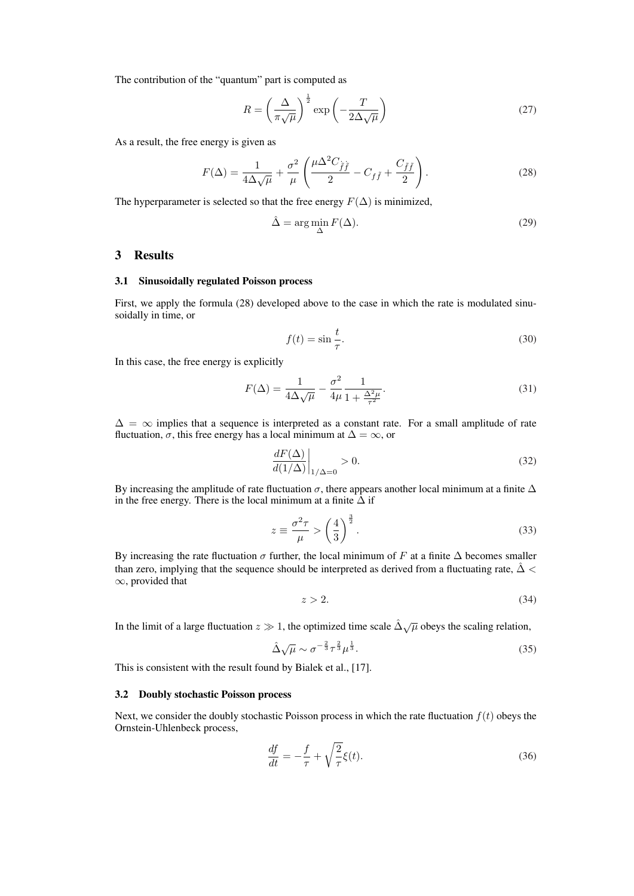The contribution of the "quantum" part is computed as

$$
R = \left(\frac{\Delta}{\pi\sqrt{\mu}}\right)^{\frac{1}{2}} \exp\left(-\frac{T}{2\Delta\sqrt{\mu}}\right)
$$
 (27)

As a result, the free energy is given as

$$
F(\Delta) = \frac{1}{4\Delta\sqrt{\mu}} + \frac{\sigma^2}{\mu} \left( \frac{\mu \Delta^2 C_{\tilde{f}\tilde{f}}}{2} - C_{f\tilde{f}} + \frac{C_{\tilde{f}\tilde{f}}}{2} \right).
$$
 (28)

The hyperparameter is selected so that the free energy  $F(\Delta)$  is minimized,

$$
\hat{\Delta} = \arg\min_{\Delta} F(\Delta). \tag{29}
$$

## 3 Results

## 3.1 Sinusoidally regulated Poisson process

First, we apply the formula (28) developed above to the case in which the rate is modulated sinusoidally in time, or

$$
f(t) = \sin\frac{t}{\tau}.\tag{30}
$$

In this case, the free energy is explicitly

$$
F(\Delta) = \frac{1}{4\Delta\sqrt{\mu}} - \frac{\sigma^2}{4\mu} \frac{1}{1 + \frac{\Delta^2\mu}{\tau^2}}.\tag{31}
$$

 $\Delta = \infty$  implies that a sequence is interpreted as a constant rate. For a small amplitude of rate fluctuation,  $\sigma$ , this free energy has a local minimum at  $\Delta = \infty$ , or

$$
\left. \frac{dF(\Delta)}{d(1/\Delta)} \right|_{1/\Delta = 0} > 0. \tag{32}
$$

By increasing the amplitude of rate fluctuation  $\sigma$ , there appears another local minimum at a finite  $\Delta$ in the free energy. There is the local minimum at a finite  $\Delta$  if

$$
z \equiv \frac{\sigma^2 \tau}{\mu} > \left(\frac{4}{3}\right)^{\frac{3}{2}}.\tag{33}
$$

By increasing the rate fluctuation  $\sigma$  further, the local minimum of F at a finite  $\Delta$  becomes smaller than zero, implying that the sequence should be interpreted as derived from a fluctuating rate,  $\Delta$  < ∞, provided that

$$
z > 2.\t\t(34)
$$

In the limit of a large fluctuation  $z \gg 1$ , the optimized time scale  $\hat{\Delta} \sqrt{\mu}$  obeys the scaling relation,

$$
\hat{\Delta}\sqrt{\mu}\sim\sigma^{-\frac{2}{3}}\tau^{\frac{2}{3}}\mu^{\frac{1}{3}}.\tag{35}
$$

This is consistent with the result found by Bialek et al., [17].

### 3.2 Doubly stochastic Poisson process

Next, we consider the doubly stochastic Poisson process in which the rate fluctuation  $f(t)$  obeys the Ornstein-Uhlenbeck process,

$$
\frac{df}{dt} = -\frac{f}{\tau} + \sqrt{\frac{2}{\tau}}\xi(t). \tag{36}
$$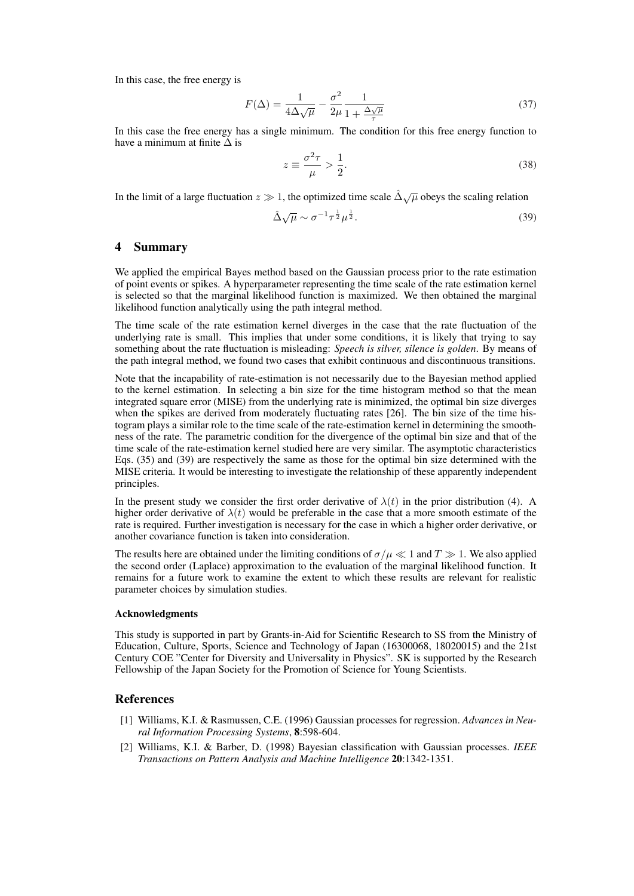In this case, the free energy is

$$
F(\Delta) = \frac{1}{4\Delta\sqrt{\mu}} - \frac{\sigma^2}{2\mu} \frac{1}{1 + \frac{\Delta\sqrt{\mu}}{\tau}}
$$
(37)

In this case the free energy has a single minimum. The condition for this free energy function to have a minimum at finite  $\Delta$  is

$$
z \equiv \frac{\sigma^2 \tau}{\mu} > \frac{1}{2}.\tag{38}
$$

In the limit of a large fluctuation  $z \gg 1$ , the optimized time scale  $\Delta \sqrt{\mu}$  obeys the scaling relation

$$
\hat{\Delta}\sqrt{\mu} \sim \sigma^{-1}\tau^{\frac{1}{2}}\mu^{\frac{1}{2}}.
$$
\n(39)

#### 4 Summary

We applied the empirical Bayes method based on the Gaussian process prior to the rate estimation of point events or spikes. A hyperparameter representing the time scale of the rate estimation kernel is selected so that the marginal likelihood function is maximized. We then obtained the marginal likelihood function analytically using the path integral method.

The time scale of the rate estimation kernel diverges in the case that the rate fluctuation of the underlying rate is small. This implies that under some conditions, it is likely that trying to say something about the rate fluctuation is misleading: *Speech is silver, silence is golden*. By means of the path integral method, we found two cases that exhibit continuous and discontinuous transitions.

Note that the incapability of rate-estimation is not necessarily due to the Bayesian method applied to the kernel estimation. In selecting a bin size for the time histogram method so that the mean integrated square error (MISE) from the underlying rate is minimized, the optimal bin size diverges when the spikes are derived from moderately fluctuating rates [26]. The bin size of the time histogram plays a similar role to the time scale of the rate-estimation kernel in determining the smoothness of the rate. The parametric condition for the divergence of the optimal bin size and that of the time scale of the rate-estimation kernel studied here are very similar. The asymptotic characteristics Eqs. (35) and (39) are respectively the same as those for the optimal bin size determined with the MISE criteria. It would be interesting to investigate the relationship of these apparently independent principles.

In the present study we consider the first order derivative of  $\lambda(t)$  in the prior distribution (4). A higher order derivative of  $\lambda(t)$  would be preferable in the case that a more smooth estimate of the rate is required. Further investigation is necessary for the case in which a higher order derivative, or another covariance function is taken into consideration.

The results here are obtained under the limiting conditions of  $\sigma/\mu \ll 1$  and  $T \gg 1$ . We also applied the second order (Laplace) approximation to the evaluation of the marginal likelihood function. It remains for a future work to examine the extent to which these results are relevant for realistic parameter choices by simulation studies.

#### Acknowledgments

This study is supported in part by Grants-in-Aid for Scientific Research to SS from the Ministry of Education, Culture, Sports, Science and Technology of Japan (16300068, 18020015) and the 21st Century COE "Center for Diversity and Universality in Physics". SK is supported by the Research Fellowship of the Japan Society for the Promotion of Science for Young Scientists.

# References

- [1] Williams, K.I. & Rasmussen, C.E. (1996) Gaussian processes for regression. *Advances in Neural Information Processing Systems*, 8:598-604.
- [2] Williams, K.I. & Barber, D. (1998) Bayesian classification with Gaussian processes. *IEEE Transactions on Pattern Analysis and Machine Intelligence* 20:1342-1351.